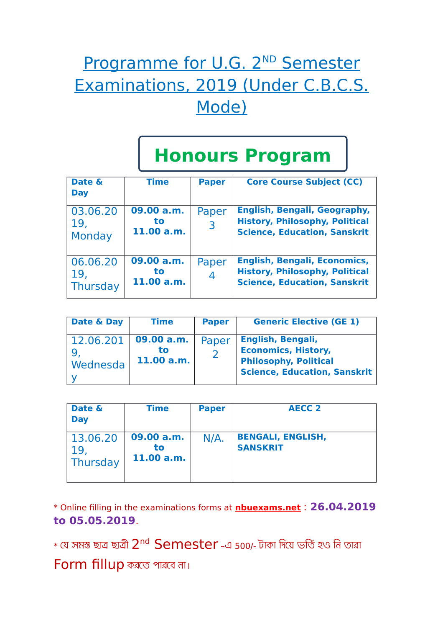## Programme for U.G. 2<sup>ND</sup> Semester Examinations, 2019 (Under C.B.C.S. Mode)

## **Honours Program**

| Date &<br><b>Day</b>        | <b>Time</b>                    | <b>Paper</b>            | <b>Core Course Subject (CC)</b>                                                                                     |
|-----------------------------|--------------------------------|-------------------------|---------------------------------------------------------------------------------------------------------------------|
| 03.06.20<br>19,<br>Monday   | 09.00 a.m.<br>to<br>11.00 a.m. | Paper<br>$\overline{3}$ | English, Bengali, Geography,<br><b>History, Philosophy, Political</b><br><b>Science, Education, Sanskrit</b>        |
| 06.06.20<br>19.<br>Thursday | 09.00 a.m.<br>to<br>11.00 a.m. | Paper<br>$\overline{4}$ | <b>English, Bengali, Economics,</b><br><b>History, Philosophy, Political</b><br><b>Science, Education, Sanskrit</b> |

| Date & Day                   | Time                           | <b>Paper</b> | <b>Generic Elective (GE 1)</b>                                                                                         |
|------------------------------|--------------------------------|--------------|------------------------------------------------------------------------------------------------------------------------|
| 12.06.201<br><b>Wednesda</b> | 09.00 a.m.<br>tο<br>11.00 a.m. | Paper        | English, Bengali,<br><b>Economics, History,</b><br><b>Philosophy, Political</b><br><b>Science, Education, Sanskrit</b> |

| Date &<br><b>Day</b>        | Time                           | <b>Paper</b> | <b>AECC 2</b>                               |
|-----------------------------|--------------------------------|--------------|---------------------------------------------|
| 13.06.20<br>19,<br>Thursday | 09.00 a.m.<br>to<br>11.00 a.m. | $N/A$ .      | <b>BENGALI, ENGLISH,</b><br><b>SANSKRIT</b> |

\* Online filling in the examinations forms at **nbuexams.net** : **26.04.2019 to 05.05.2019**.

 $\ast$  যে সমস্ত ছাত্র ছাত্রী  $2^{\mathsf{nd}}$   $\mathsf{Semester}$  -এ 500/- টাকা দিয়ে ভর্তি হও নি তারা

**Form fillup** করতে পারবে না।